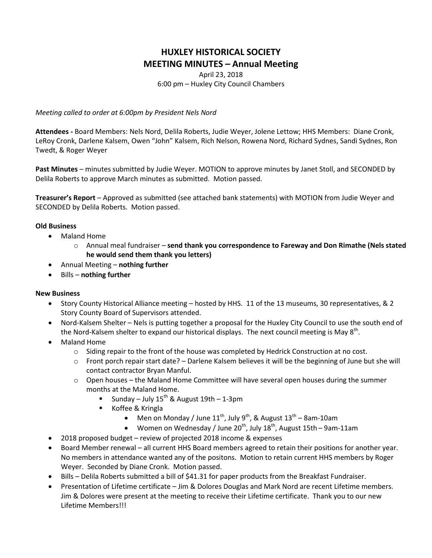## **HUXLEY HISTORICAL SOCIETY MEETING MINUTES – Annual Meeting**

April 23, 2018 6:00 pm – Huxley City Council Chambers

*Meeting called to order at 6:00pm by President Nels Nord*

**Attendees -** Board Members: Nels Nord, Delila Roberts, Judie Weyer, Jolene Lettow; HHS Members: Diane Cronk, LeRoy Cronk, Darlene Kalsem, Owen "John" Kalsem, Rich Nelson, Rowena Nord, Richard Sydnes, Sandi Sydnes, Ron Twedt, & Roger Weyer

**Past Minutes** – minutes submitted by Judie Weyer. MOTION to approve minutes by Janet Stoll, and SECONDED by Delila Roberts to approve March minutes as submitted. Motion passed.

**Treasurer's Report** – Approved as submitted (see attached bank statements) with MOTION from Judie Weyer and SECONDED by Delila Roberts. Motion passed.

## **Old Business**

- Maland Home
	- o Annual meal fundraiser **send thank you correspondence to Fareway and Don Rimathe (Nels stated he would send them thank you letters)**
- Annual Meeting **nothing further**
- Bills **nothing further**

## **New Business**

- Story County Historical Alliance meeting hosted by HHS. 11 of the 13 museums, 30 representatives, & 2 Story County Board of Supervisors attended.
- Nord-Kalsem Shelter Nels is putting together a proposal for the Huxley City Council to use the south end of the Nord-Kalsem shelter to expand our historical displays. The next council meeting is May  $8<sup>th</sup>$ .
- Maland Home
	- $\circ$  Siding repair to the front of the house was completed by Hedrick Construction at no cost.
	- $\circ$  Front porch repair start date? Darlene Kalsem believes it will be the beginning of June but she will contact contractor Bryan Manful.
	- $\circ$  Open houses the Maland Home Committee will have several open houses during the summer months at the Maland Home.
		- Sunday July 15<sup>th</sup> & August 19th 1-3pm
		- Koffee & Kringla
			- Men on Monday / June  $11^{th}$ , July 9<sup>th</sup>, & August  $13^{th}$  8am-10am
			- Women on Wednesday / June 20<sup>th</sup>, July 18<sup>th</sup>, August 15th 9am-11am
- 2018 proposed budget review of projected 2018 income & expenses
- Board Member renewal all current HHS Board members agreed to retain their positions for another year. No members in attendance wanted any of the positons. Motion to retain current HHS members by Roger Weyer. Seconded by Diane Cronk. Motion passed.
- Bills Delila Roberts submitted a bill of \$41.31 for paper products from the Breakfast Fundraiser.
- Presentation of Lifetime certificate Jim & Dolores Douglas and Mark Nord are recent Lifetime members. Jim & Dolores were present at the meeting to receive their Lifetime certificate. Thank you to our new Lifetime Members!!!